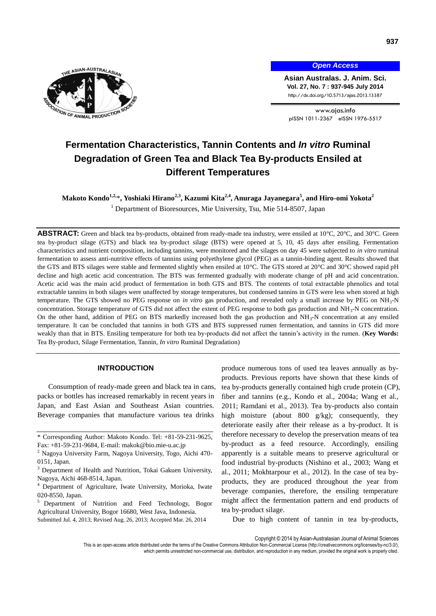

*Open Access*

**Asian Australas. J. Anim. Sci. Vol. 27, No. 7 : 937-945 July 2014** http://dx.doi.org/10.5713/ajas.2013.13387

www.ajas.info pISSN 1011-2367 eISSN 1976-5517

# **Fermentation Characteristics, Tannin Contents and** *In vitro* **Ruminal Degradation of Green Tea and Black Tea By-products Ensiled at Different Temperatures**

**Makoto Kondo1,2,** \***, Yoshiaki Hirano2,3, Kazumi Kita2,4 , Anuraga Jayanegara<sup>5</sup> , and Hiro-omi Yokota<sup>2</sup>** <sup>1</sup> Department of Bioresources, Mie University, Tsu, Mie 514-8507, Japan

**ABSTRACT:** Green and black tea by-products, obtained from ready-made tea industry, were ensiled at 10℃, 20℃, and 30℃. Green tea by-product silage (GTS) and black tea by-product silage (BTS) were opened at 5, 10, 45 days after ensiling. Fermentation characteristics and nutrient composition, including tannins, were monitored and the silages on day 45 were subjected to *in vitro* ruminal fermentation to assess anti-nutritive effects of tannins using polyethylene glycol (PEG) as a tannin-binding agent. Results showed that the GTS and BTS silages were stable and fermented slightly when ensiled at 10°C. The GTS stored at 20°C and 30°C showed rapid pH decline and high acetic acid concentration. The BTS was fermented gradually with moderate change of pH and acid concentration. Acetic acid was the main acid product of fermentation in both GTS and BTS. The contents of total extractable phenolics and total extractable tannins in both silages were unaffected by storage temperatures, but condensed tannins in GTS were less when stored at high temperature. The GTS showed no PEG response on *in vitro* gas production, and revealed only a small increase by PEG on NH<sup>3</sup> -N concentration. Storage temperature of GTS did not affect the extent of PEG response to both gas production and NH<sub>3</sub>-N concentration. On the other hand, addition of PEG on BTS markedly increased both the gas production and  $NH<sub>3</sub>-N$  concentration at any ensiled temperature. It can be concluded that tannins in both GTS and BTS suppressed rumen fermentation, and tannins in GTS did more weakly than that in BTS. Ensiling temperature for both tea by-products did not affect the tannin's activity in the rumen. (**Key Words:** Tea By-product, Silage Fermentation, Tannin, *In vitro* Ruminal Degradation)

## **INTRODUCTION**

Consumption of ready-made green and black tea in cans, packs or bottles has increased remarkably in recent years in Japan, and East Asian and Southeast Asian countries. Beverage companies that manufacture various tea drinks

- <sup>2</sup> Nagoya University Farm, Nagoya University, Togo, Aichi 470-0151, Japan.
- $3$  Department of Health and Nutrition, Tokai Gakuen University, Nagoya, Aichi 468-8514, Japan.
- Department of Agriculture, Iwate University, Morioka, Iwate 020-8550, Japan.
- <sup>5</sup> Department of Nutrition and Feed Technology, Bogor Agricultural University, Bogor 16680, West Java, Indonesia. Submitted Jul. 4, 2013; Revised Aug. 26, 2013; Accepted Mar. 26, 2014

produce numerous tons of used tea leaves annually as byproducts. Previous reports have shown that these kinds of tea by-products generally contained high crude protein (CP), fiber and tannins (e.g., Kondo et al., 2004a; Wang et al., 2011; Ramdani et al., 2013). Tea by-products also contain high moisture (about 800 g/kg); consequently, they deteriorate easily after their release as a by-product. It is therefore necessary to develop the preservation means of tea by-product as a feed resource. Accordingly, ensiling apparently is a suitable means to preserve agricultural or food industrial by-products (Nishino et al., 2003; Wang et al., 2011; Mokhtarpour et al., 2012). In the case of tea byproducts, they are produced throughout the year from beverage companies, therefore, the ensiling temperature might affect the fermentation pattern and end products of tea by-product silage.

Due to high content of tannin in tea by-products,

Copyright © 2014 by Asian-Australasian Journal of Animal Sciences

<sup>\*</sup> Corresponding Author: Makoto Kondo. Tel: +81-59-231-9625, Fax: +81-59-231-9684, E-mail[: makok@bio.mie-u.ac.jp](mailto:makok@bio.mie-u.ac.jp)

This is an open-access article distributed under the terms of the Creative Commons Attribution Non-Commercial License [\(http://creativecommons.org/licenses/by-nc/3.0/\),](http://creativecommons.org/licenses/by-nc/3.0/) which permits unrestricted non-commercial use, distribution, and reproduction in any medium, provided the original work is properly cited.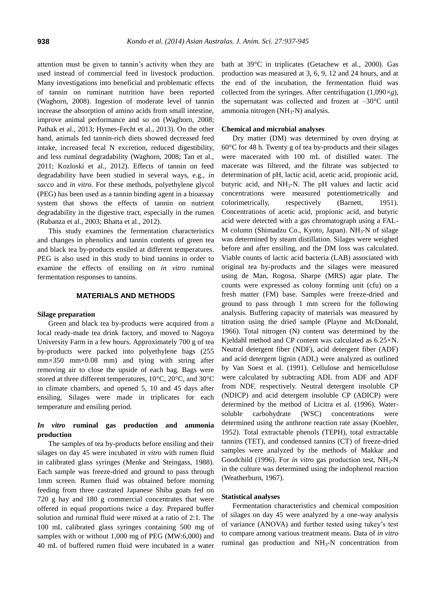attention must be given to tannin's activity when they are used instead of commercial feed in livestock production. Many investigations into beneficial and problematic effects of tannin on ruminant nutrition have been reported (Waghorn, 2008). Ingestion of moderate level of tannin increase the absorption of amino acids from small intestine, improve animal performance and so on (Waghorn, 2008; Pathak et al., 2013; Hymes-Fecht et al., 2013). On the other hand, animals fed tannin-rich diets showed decreased feed intake, increased fecal N excretion, reduced digestibility, and less ruminal degradability (Waghorn, 2008; Tan et al., 2011; Kozloski et al., 2012). Effects of tannin on feed degradability have been studied in several ways, e.g., *in sacco* and *in vitro*. For these methods, polyethylene glycol (PEG) has been used as a tannin binding agent in a bioassay system that shows the effects of tannin on nutrient degradability in the digestive tract, especially in the rumen (Rubanza et al., 2003; Bhatta et al., 2012).

This study examines the fermentation characteristics and changes in phenolics and tannin contents of green tea and black tea by-products ensiled at different temperatures. PEG is also used in this study to bind tannins in order to examine the effects of ensiling on *in vitro* ruminal fermentation responses to tannins.

#### **MATERIALS AND METHODS**

#### **Silage preparation**

Green and black tea by-products were acquired from a local ready-made tea drink factory, and moved to Nagoya University Farm in a few hours. Approximately 700 g of tea by-products were packed into polyethylene bags (255  $mm \times 350$  mm $\times 0.08$  mm) and tying with string after removing air to close the upside of each bag. Bags were stored at three different temperatures, 10°C, 20°C, and 30°C in climate chambers, and opened 5, 10 and 45 days after ensiling. Silages were made in triplicates for each temperature and ensiling period.

# *In vitro* **ruminal gas production and ammonia production**

The samples of tea by-products before ensiling and their silages on day 45 were incubated *in vitro* with rumen fluid in calibrated glass syringes (Menke and Steingass, 1988). Each sample was freeze-dried and ground to pass through 1mm screen. Rumen fluid was obtained before morning feeding from three castrated Japanese Shiba goats fed on 720 g hay and 180 g commercial concentrates that were offered in equal proportions twice a day. Prepared buffer solution and ruminal fluid were mixed at a ratio of 2:1. The 100 mL calibrated glass syringes containing 500 mg of samples with or without 1,000 mg of PEG (MW:6,000) and 40 mL of buffered rumen fluid were incubated in a water bath at 39°C in triplicates (Getachew et al., 2000). Gas production was measured at 3, 6, 9, 12 and 24 hours, and at the end of the incubation, the fermentation fluid was collected from the syringes. After centrifugation (1,090×*g*), the supernatant was collected and frozen at  $-30^{\circ}$ C until ammonia nitrogen ( $NH_3-N$ ) analysis.

#### **Chemical and microbial analyses**

Dry matter (DM) was determined by oven drying at 60°C for 48 h. Twenty g of tea by-products and their silages were macerated with 100 mL of distilled water. The macerate was filtered, and the filtrate was subjected to determination of pH, lactic acid, acetic acid, propionic acid, butyric acid, and  $NH<sub>3</sub>-N$ . The pH values and lactic acid concentrations were measured potentiometrically and colorimetrically, respectively (Barnett, 1951). Concentrations of acetic acid, propionic acid, and butyric acid were detected with a gas chromatograph using a FAL-M column (Shimadzu Co., Kyoto, Japan).  $NH<sub>3</sub>-N$  of silage was determined by steam distillation. Silages were weighed before and after ensiling, and the DM loss was calculated. Viable counts of lactic acid bacteria (LAB) associated with original tea by-products and the silages were measured using de Man, Rogosa, Sharpe (MRS) agar plate. The counts were expressed as colony forming unit (cfu) on a fresh matter (FM) base. Samples were freeze-dried and ground to pass through 1 mm screen for the following analysis. Buffering capacity of materials was measured by titration using the dried sample (Playne and McDonald, 1966). Total nitrogen (N) content was determined by the Kjeldahl method and CP content was calculated as 6.25×N. Neutral detergent fiber (NDF), acid detergent fiber (ADF) and acid detergent lignin (ADL) were analyzed as outlined by Van Soest et al. (1991). Cellulose and hemicellulose were calculated by subtracting ADL from ADF and ADF from NDF, respectively. Neutral detergent insoluble CP (NDICP) and acid detergent insoluble CP (ADICP) were determined by the method of Licitra et al. (1996). Watersoluble carbohydrate (WSC) concentrations were determined using the anthrone reaction rate assay (Koehler, 1952). Total extractable phenols (TEPH), total extractable tannins (TET), and condensed tannins (CT) of freeze-dried samples were analyzed by the methods of Makkar and Goodchild (1996). For *in vitro* gas production test, NH<sub>3</sub>-N in the culture was determined using the indophenol reaction (Weatherburn, 1967).

#### **Statistical analyses**

Fermentation characteristics and chemical composition of silages on day 45 were analyzed by a one-way analysis of variance (ANOVA) and further tested using tukey's test to compare among various treatment means. Data of *in vitro* ruminal gas production and  $NH<sub>3</sub>-N$  concentration from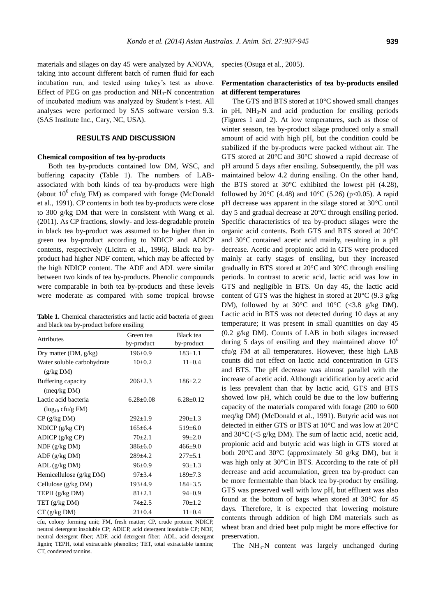materials and silages on day 45 were analyzed by ANOVA, taking into account different batch of rumen fluid for each incubation run, and tested using tukey's test as above. Effect of PEG on gas production and  $NH<sub>3</sub>-N$  concentration of incubated medium was analyzed by Student's t-test. All analyses were performed by SAS software version 9.3. (SAS Institute Inc., Cary, NC, USA).

## **RESULTS AND DISCUSSION**

## **Chemical composition of tea by-products**

Both tea by-products contained low DM, WSC, and buffering capacity (Table 1). The numbers of LABassociated with both kinds of tea by-products were high (about  $10^6$  cfu/g FM) as compared with forage (McDonald et al., 1991). CP contents in both tea by-products were close to 300 g/kg DM that were in consistent with Wang et al. (2011). As CP fractions, slowly- and less-degradable protein in black tea by-product was assumed to be higher than in green tea by-product according to NDICP and ADICP contents, respectively (Licitra et al., 1996). Black tea byproduct had higher NDF content, which may be affected by the high NDICP content. The ADF and ADL were similar between two kinds of tea by-products. Phenolic compounds were comparable in both tea by-products and these levels were moderate as compared with some tropical browse

**Table 1.** Chemical characteristics and lactic acid bacteria of green and black tea by-product before ensiling

|                                | Green tea       | Black tea       |  |
|--------------------------------|-----------------|-----------------|--|
| <b>Attributes</b>              | by-product      | by-product      |  |
| Dry matter $(DM, g/kg)$        | $196 \pm 0.9$   | $183 \pm 1.1$   |  |
| Water soluble carbohydrate     | $10\pm0.2$      | $11 \pm 0.4$    |  |
| (g/kg DM)                      |                 |                 |  |
| Buffering capacity             | $206 \pm 2.3$   | $186 + 2.2$     |  |
| $(\text{meq/kg} \text{DM})$    |                 |                 |  |
| Lactic acid bacteria           | $6.28 \pm 0.08$ | $6.28 \pm 0.12$ |  |
| $(\log_{10} c \text{fu/g FM})$ |                 |                 |  |
| $CP$ (g/kg DM)                 | $292 \pm 1.9$   | $290 \pm 1.3$   |  |
| NDICP $(g/kg CP)$              | $165 \pm 6.4$   | $519 \pm 6.0$   |  |
| ADICP(g/kg CP)                 | $70+2.1$        | $99 \pm 2.0$    |  |
| $NDF$ (g/kg DM)                | $386 \pm 6.0$   | $466 \pm 9.0$   |  |
| ADF(g/kg DM)                   | $289 \pm 4.2$   | $277 \pm 5.1$   |  |
| ADL(g/kg DM)                   | $96 \pm 0.9$    | $93 \pm 1.3$    |  |
| Hemicellulose (g/kg DM)        | $97 \pm 3.4$    | $189 \pm 7.3$   |  |
| Cellulose $(g/kg DM)$          | $193 \pm 4.9$   | $184 \pm 3.5$   |  |
| TEPH $(g/kg DM)$               | $81 \pm 2.1$    | $94 \pm 0.9$    |  |
| TET(g/kg DM)                   | $74 \pm 2.5$    | $70 \pm 1.2$    |  |
| $CT$ (g/kg DM)                 | $21 \pm 0.4$    | $11 \pm 0.4$    |  |

cfu, colony forming unit; FM, fresh matter; CP, crude protein; NDICP, neutral detergent insoluble CP; ADICP, acid detergent insoluble CP; NDF, neutral detergent fiber; ADF, acid detergent fiber; ADL, acid detergent lignin; TEPH, total extractable phenolics; TET, total extractable tannins; CT, condensed tannins.

species (Osuga et al., 2005).

## **Fermentation characteristics of tea by-products ensiled at different temperatures**

The GTS and BTS stored at 10°C showed small changes in pH,  $NH_3-N$  and acid production for ensiling periods (Figures 1 and 2). At low temperatures, such as those of winter season, tea by-product silage produced only a small amount of acid with high pH, but the condition could be stabilized if the by-products were packed without air. The GTS stored at 20°C and 30°C showed a rapid decrease of pH around 5 days after ensiling. Subsequently, the pH was maintained below 4.2 during ensiling. On the other hand, the BTS stored at  $30^{\circ}$ C exhibited the lowest pH (4.28), followed by 20 $\degree$ C (4.48) and 10 $\degree$ C (5.26) (p<0.05). A rapid pH decrease was apparent in the silage stored at 30°C until day 5 and gradual decrease at 20°C through ensiling period. Specific characteristics of tea by-product silages were the organic acid contents. Both GTS and BTS stored at 20°C and 30°C contained acetic acid mainly, resulting in a pH decrease. Acetic and propionic acid in GTS were produced mainly at early stages of ensiling, but they increased gradually in BTS stored at  $20^{\circ}$ C and  $30^{\circ}$ C through ensiling periods. In contrast to acetic acid, lactic acid was low in GTS and negligible in BTS. On day 45, the lactic acid content of GTS was the highest in stored at  $20^{\circ}$ C (9.3 g/kg) DM), followed by at 30 $\degree$ C and 10 $\degree$ C (<3.8 g/kg DM). Lactic acid in BTS was not detected during 10 days at any temperature; it was present in small quantities on day 45 (0.2 g/kg DM). Counts of LAB in both silages increased during 5 days of ensiling and they maintained above  $10<sup>6</sup>$ cfu/g FM at all temperatures. However, these high LAB counts did not effect on lactic acid concentration in GTS and BTS. The pH decrease was almost parallel with the increase of acetic acid. Although acidification by acetic acid is less prevalent than that by lactic acid, GTS and BTS showed low pH, which could be due to the low buffering capacity of the materials compared with forage (200 to 600 meq/kg DM) (McDonald et al., 1991). Butyric acid was not detected in either GTS or BTS at 10°C and was low at 20°C and  $30^{\circ}$ C( $\lt$ 5 g/kg DM). The sum of lactic acid, acetic acid, propionic acid and butyric acid was high in GTS stored at both 20°C and 30°C (approximately 50 g/kg DM), but it was high only at 30°Cin BTS. According to the rate of pH decrease and acid accumulation, green tea by-product can be more fermentable than black tea by-product by ensiling. GTS was preserved well with low pH, but effluent was also found at the bottom of bags when stored at 30°C for 45 days. Therefore, it is expected that lowering moisture contents through addition of high DM materials such as wheat bran and dried beet pulp might be more effective for preservation.

The  $NH<sub>3</sub>-N$  content was largely unchanged during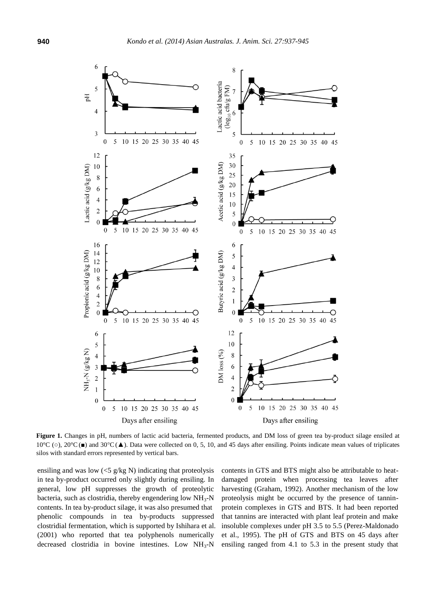

Figure 1. Changes in pH, numbers of lactic acid bacteria, fermented products, and DM loss of green tea by-product silage ensiled at 10°C (o), 20°C (■) and 30°C (▲). Data were collected on 0, 5, 10, and 45 days after ensiling. Points indicate mean values of triplicates silos with standard errors represented by vertical bars.

ensiling and was low  $\langle$  <5 g/kg N) indicating that proteolysis in tea by-product occurred only slightly during ensiling. In general, low pH suppresses the growth of proteolytic bacteria, such as clostridia, thereby engendering low  $NH<sub>3</sub>-N$ contents. In tea by-product silage, it was also presumed that phenolic compounds in tea by-products suppressed clostridial fermentation, which is supported by Ishihara et al. (2001) who reported that tea polyphenols numerically decreased clostridia in bovine intestines. Low  $NH<sub>3</sub>-N$  contents in GTS and BTS might also be attributable to heatdamaged protein when processing tea leaves after harvesting (Graham, 1992). Another mechanism of the low proteolysis might be occurred by the presence of tanninprotein complexes in GTS and BTS. It had been reported that tannins are interacted with plant leaf protein and make insoluble complexes under pH 3.5 to 5.5 (Perez-Maldonado et al., 1995). The pH of GTS and BTS on 45 days after ensiling ranged from 4.1 to 5.3 in the present study that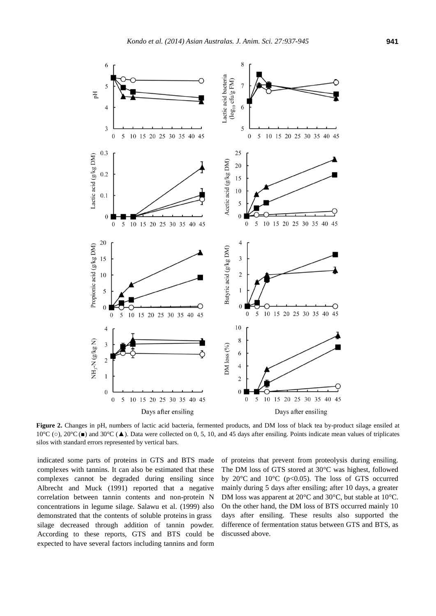

**Figure 2.** Changes in pH, numbers of lactic acid bacteria, fermented products, and DM loss of black tea by-product silage ensiled at 10°C (○), 20°C (■) and 30°C (▲). Data were collected on 0, 5, 10, and 45 days after ensiling. Points indicate mean values of triplicates silos with standard errors represented by vertical bars.

indicated some parts of proteins in GTS and BTS made complexes with tannins. It can also be estimated that these complexes cannot be degraded during ensiling since Albrecht and Muck (1991) reported that a negative correlation between tannin contents and non-protein N concentrations in legume silage. Salawu et al. (1999) also demonstrated that the contents of soluble proteins in grass silage decreased through addition of tannin powder. According to these reports, GTS and BTS could be expected to have several factors including tannins and form

of proteins that prevent from proteolysis during ensiling. The DM loss of GTS stored at 30°C was highest, followed by 20 $\degree$ C and 10 $\degree$ C (p<0.05). The loss of GTS occurred mainly during 5 days after ensiling; after 10 days, a greater DM loss was apparent at 20 °C and 30 °C, but stable at 10 °C. On the other hand, the DM loss of BTS occurred mainly 10 days after ensiling. These results also supported the difference of fermentation status between GTS and BTS, as discussed above.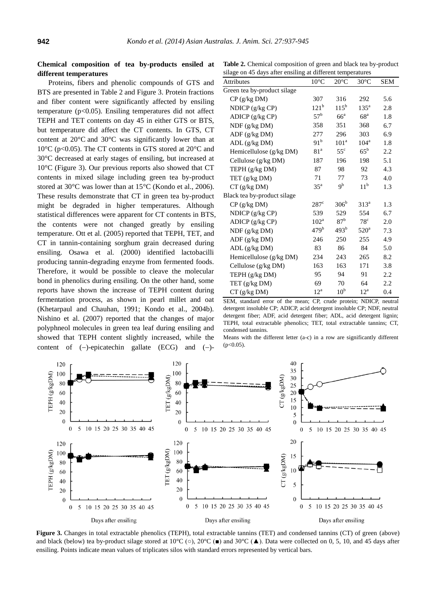# **Chemical composition of tea by-products ensiled at different temperatures**

Proteins, fibers and phenolic compounds of GTS and BTS are presented in Table 2 and Figure 3. Protein fractions and fiber content were significantly affected by ensiling temperature ( $p<0.05$ ). Ensiling temperatures did not affect TEPH and TET contents on day 45 in either GTS or BTS, but temperature did affect the CT contents. In GTS, CT content at 20°C and 30°C was significantly lower than at 10°C (p<0.05). The CT contents in GTS stored at 20°C and 30°C decreased at early stages of ensiling, but increased at 10°C (Figure 3). Our previous reports also showed that CT contents in mixed silage including green tea by-product stored at 30°C was lower than at 15°C (Kondo et al., 2006). These results demonstrate that CT in green tea by-product might be degraded in higher temperatures. Although statistical differences were apparent for CT contents in BTS, the contents were not changed greatly by ensiling temperature. Ott et al. (2005) reported that TEPH, TET, and CT in tannin-containing sorghum grain decreased during ensiling. Osawa et al. (2000) identified lactobacilli producing tannin-degrading enzyme from fermented foods. Therefore, it would be possible to cleave the molecular bond in phenolics during ensiling. On the other hand, some reports have shown the increase of TEPH content during fermentation process, as shown in pearl millet and oat (Khetarpaul and Chauhan, 1991; Kondo et al., 2004b). Nishino et al. (2007) reported that the changes of major polyphneol molecules in green tea leaf during ensiling and showed that TEPH content slightly increased, while the content of  $(-)$ -epicatechin gallate  $(ECG)$  and  $(-)$ -

**Table 2.** Chemical composition of green and black tea by-product silage on 45 days after ensiling at different temperatures

| onage on 45 days and ensuing at university temperatures |                  |                  |                 |            |  |  |
|---------------------------------------------------------|------------------|------------------|-----------------|------------|--|--|
| <b>Attributes</b>                                       | $10^{\circ}$ C   | $20^{\circ}$ C   | $30^{\circ}$ C  | <b>SEM</b> |  |  |
| Green tea by-product silage                             |                  |                  |                 |            |  |  |
| CP (g/kg DM)                                            | 307              | 316              | 292             | 5.6        |  |  |
| NDICP (g/kg CP)                                         | 121 <sup>b</sup> | $115^{b}$        | $135^{\circ}$   | 2.8        |  |  |
| ADICP (g/kg CP)                                         | $57^{\rm b}$     | 66 <sup>a</sup>  | 68 <sup>a</sup> | 1.8        |  |  |
| NDF (g/kg DM)                                           | 358              | 351              | 368             | 6.7        |  |  |
| ADF(g/kg DM)                                            | 277              | 296              | 303             | 6.9        |  |  |
| ADL (g/kg DM)                                           | 91 <sup>b</sup>  | 101 <sup>a</sup> | $104^{\rm a}$   | 1.8        |  |  |
| Hemicellulose (g/kg DM)                                 | 81 <sup>a</sup>  | $55^{\circ}$     | $65^{\rm b}$    | 2.2        |  |  |
| Cellulose (g/kg DM)                                     | 187              | 196              | 198             | 5.1        |  |  |
| TEPH (g/kg DM)                                          | 87               | 98               | 92              | 4.3        |  |  |
| TET (g/kg DM)                                           | 71               | 77               | 73              | 4.0        |  |  |
| $CT$ (g/kg DM)                                          | $35^{\circ}$     | 9 <sup>b</sup>   | 11 <sup>b</sup> | 1.3        |  |  |
| Black tea by-product silage                             |                  |                  |                 |            |  |  |
| CP (g/kg DM)                                            | $287^{\circ}$    | 306 <sup>b</sup> | $313^a$         | 1.3        |  |  |
| NDICP $(g/kg CP)$                                       | 539              | 529              | 554             | 6.7        |  |  |
| ADICP (g/kg CP)                                         | $102^{\rm a}$    | 87 <sup>b</sup>  | $78^{\circ}$    | 2.0        |  |  |
| NDF (g/kg DM)                                           | 479 <sup>b</sup> | 493 <sup>b</sup> | $520^{\circ}$   | 7.3        |  |  |
| ADF (g/kg DM)                                           | 246              | 250              | 255             | 4.9        |  |  |
| ADL(g/kg DM)                                            | 83               | 86               | 84              | 5.0        |  |  |
| Hemicellulose (g/kg DM)                                 | 234              | 243              | 265             | 8.2        |  |  |
| Cellulose (g/kg DM)                                     | 163              | 163              | 171             | 3.8        |  |  |
| TEPH (g/kg DM)                                          | 95               | 94               | 91              | 2.2        |  |  |
| TET (g/kg DM)                                           | 69               | 70               | 64              | 2.2        |  |  |
| CT (g/kg DM)                                            | $12^a$           | 10 <sup>b</sup>  | $12^{\rm a}$    | 0.4        |  |  |

SEM, standard error of the mean; CP, crude protein; NDICP, neutral detergent insoluble CP; ADICP, acid detergent insoluble CP; NDF, neutral detergent fiber; ADF, acid detergent fiber; ADL, acid detergent lignin; TEPH, total extractable phenolics; TET, total extractable tannins; CT, condensed tannins.

Means with the different letter (a-c) in a row are significantly different  $(p<0.05)$ .



**Figure 3.** Changes in total extractable phenolics (TEPH), total extractable tannins (TET) and condensed tannins (CT) of green (above) and black (below) tea by-product silage stored at 10°C ( $\circ$ ), 20°C ( $\bullet$ ) and 30°C ( $\blacktriangle$ ). Data were collected on 0, 5, 10, and 45 days after ensiling. Points indicate mean values of triplicates silos with standard errors represented by vertical bars.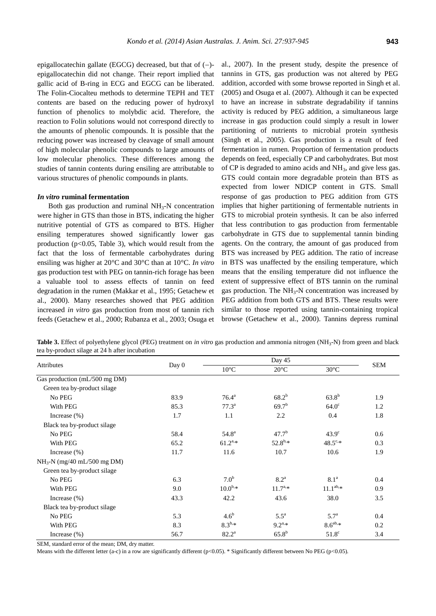epigallocatechin gallate (EGCG) decreased, but that of  $(-)$ epigallocatechin did not change. Their report implied that gallic acid of B-ring in ECG and EGCG can be liberated. The Folin-Ciocalteu methods to determine TEPH and TET contents are based on the reducing power of hydroxyl function of phenolics to molybdic acid. Therefore, the reaction to Folin solutions would not correspond directly to the amounts of phenolic compounds. It is possible that the reducing power was increased by cleavage of small amount of high molecular phenolic compounds to large amounts of low molecular phenolics. These differences among the studies of tannin contents during ensiling are attributable to various structures of phenolic compounds in plants.

### *In vitro* **ruminal fermentation**

Both gas production and ruminal  $NH<sub>3</sub>-N$  concentration were higher in GTS than those in BTS, indicating the higher nutritive potential of GTS as compared to BTS. Higher ensiling temperatures showed significantly lower gas production ( $p<0.05$ , Table 3), which would result from the fact that the loss of fermentable carbohydrates during ensiling was higher at 20°C and 30°C than at 10°C. *In vitro* gas production test with PEG on tannin-rich forage has been a valuable tool to assess effects of tannin on feed degradation in the rumen (Makkar et al., 1995; Getachew et al., 2000). Many researches showed that PEG addition increased *in vitro* gas production from most of tannin rich feeds (Getachew et al., 2000; Rubanza et al., 2003; Osuga et al., 2007). In the present study, despite the presence of tannins in GTS, gas production was not altered by PEG addition, accorded with some browse reported in Singh et al. (2005) and Osuga et al. (2007). Although it can be expected to have an increase in substrate degradability if tannins activity is reduced by PEG addition, a simultaneous large increase in gas production could simply a result in lower partitioning of nutrients to microbial protein synthesis (Singh et al., 2005). Gas production is a result of feed fermentation in rumen. Proportion of fermentation products depends on feed, especially CP and carbohydrates. But most of CP is degraded to amino acids and NH3, and give less gas. GTS could contain more degradable protein than BTS as expected from lower NDICP content in GTS. Small response of gas production to PEG addition from GTS implies that higher partitioning of fermentable nutrients in GTS to microbial protein synthesis. It can be also inferred that less contribution to gas production from fermentable carbohydrate in GTS due to supplemental tannin binding agents. On the contrary, the amount of gas produced from BTS was increased by PEG addition. The ratio of increase in BTS was unaffected by the ensiling temperature, which means that the ensiling temperature did not influence the extent of suppressive effect of BTS tannin on the ruminal gas production. The  $NH<sub>3</sub>-N$  concentration was increased by PEG addition from both GTS and BTS. These results were similar to those reported using tannin-containing tropical browse (Getachew et al., 2000). Tannins depress ruminal

**Table 3.** Effect of polyethylene glycol (PEG) treatment on *in vitro* gas production and ammonia nitrogen (NH<sub>3</sub>-N) from green and black tea by-product silage at 24 h after incubation

| Attributes                    | Day 0 | Day 45           |                    |                  |            |
|-------------------------------|-------|------------------|--------------------|------------------|------------|
|                               |       | $10^{\circ}C$    | $20^{\circ}C$      | $30^{\circ}$ C   | <b>SEM</b> |
| Gas production (mL/500 mg DM) |       |                  |                    |                  |            |
| Green tea by-product silage   |       |                  |                    |                  |            |
| No PEG                        | 83.9  | $76.4^{\rm a}$   | $68.2^{b}$         | $63.8^{b}$       | 1.9        |
| With PEG                      | 85.3  | $77.3^{\rm a}$   | 69.7 <sup>b</sup>  | $64.0^\circ$     | 1.2        |
| Increase $(\% )$              | 1.7   | 1.1              | 2.2                | 0.4              | 1.8        |
| Black tea by-product silage   |       |                  |                    |                  |            |
| No PEG                        | 58.4  | $54.8^{\rm a}$   | $47.7^{b}$         | $43.9^\circ$     | 0.6        |
| With PEG                      | 65.2  | $61.2^{a,*}$     | $52.8^{b,*}$       | $48.5^{\circ,*}$ | 0.3        |
| Increase $(\%)$               | 11.7  | 11.6             | 10.7               | 10.6             | 1.9        |
| $NH_3-N$ (mg/40 mL/500 mg DM) |       |                  |                    |                  |            |
| Green tea by-product silage   |       |                  |                    |                  |            |
| No PEG                        | 6.3   | 7.0 <sup>b</sup> | 8.2 <sup>a</sup>   | 8.1 <sup>a</sup> | 0.4        |
| With PEG                      | 9.0   | $10.0^{b,*}$     | $11.7^{a,*}$       | $11.1^{ab,*}$    | 0.9        |
| Increase $(\% )$              | 43.3  | 42.2             | 43.6               | 38.0             | 3.5        |
| Black tea by-product silage   |       |                  |                    |                  |            |
| No PEG                        | 5.3   | 4.6 <sup>b</sup> | $5.5^{\mathrm{a}}$ | 5.7 <sup>a</sup> | 0.4        |
| With PEG                      | 8.3   | $8.3^{b,*}$      | $9.2^{a,*}$        | $8.6^{ab,*}$     | 0.2        |
| Increase $(\%)$               | 56.7  | $82.2^{\rm a}$   | $65.8^{b}$         | $51.8^\circ$     | 3.4        |

SEM, standard error of the mean; DM, dry matter.

Means with the different letter (a-c) in a row are significantly different (p<0.05). \* Significantly different between No PEG (p<0.05).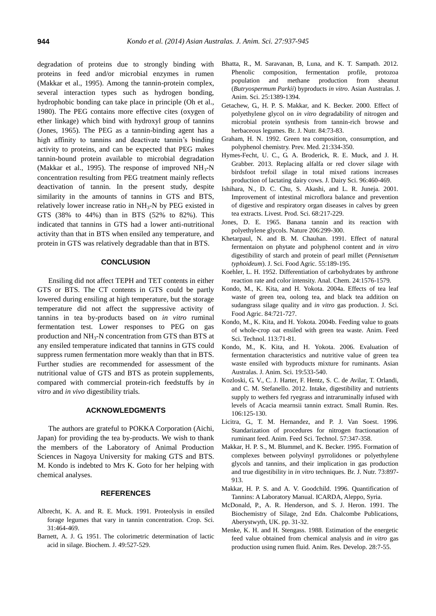degradation of proteins due to strongly binding with proteins in feed and/or microbial enzymes in rumen (Makkar et al., 1995). Among the tannin-protein complex, several interaction types such as hydrogen bonding, hydrophobic bonding can take place in principle (Oh et al., 1980). The PEG contains more effective cites (oxygen of ether linkage) which bind with hydroxyl group of tannins (Jones, 1965). The PEG as a tannin-binding agent has a high affinity to tannins and deactivate tannin's binding activity to proteins, and can be expected that PEG makes tannin-bound protein available to microbial degradation (Makkar et al., 1995). The response of improved  $NH_3-N$ concentration resulting from PEG treatment mainly reflects deactivation of tannin. In the present study, despite similarity in the amounts of tannins in GTS and BTS, relatively lower increase ratio in  $NH<sub>3</sub>-N$  by PEG existed in GTS (38% to 44%) than in BTS (52% to 82%). This indicated that tannins in GTS had a lower anti-nutritional activity than that in BTS when ensiled any temperature, and protein in GTS was relatively degradable than that in BTS.

## **CONCLUSION**

Ensiling did not affect TEPH and TET contents in either GTS or BTS. The CT contents in GTS could be partly lowered during ensiling at high temperature, but the storage temperature did not affect the suppressive activity of tannins in tea by-products based on *in vitro* ruminal fermentation test. Lower responses to PEG on gas production and NH3-N concentration from GTS than BTS at any ensiled temperature indicated that tannins in GTS could suppress rumen fermentation more weakly than that in BTS. Further studies are recommended for assessment of the nutritional value of GTS and BTS as protein supplements, compared with commercial protein-rich feedstuffs by *in vitro* and *in vivo* digestibility trials.

#### **ACKNOWLEDGMENTS**

The authors are grateful to POKKA Corporation (Aichi, Japan) for providing the tea by-products. We wish to thank the members of the Laboratory of Animal Production Sciences in Nagoya University for making GTS and BTS. M. Kondo is indebted to Mrs K. Goto for her helping with chemical analyses.

#### **REFERENCES**

- Albrecht, K. A. and R. E. Muck. 1991. [Proteolysis in ensiled](https://dl.sciencesocieties.org/publications/cs/abstracts/31/2/CS0310020464)  [forage legumes that vary in tannin concentration.](https://dl.sciencesocieties.org/publications/cs/abstracts/31/2/CS0310020464) Crop. Sci. 31:464-469.
- Barnett, A. J. G. 1951. [The colorimetric determination of lactic](http://www.ncbi.nlm.nih.gov/pmc/articles/PMC1197544/)  [acid in silage.](http://www.ncbi.nlm.nih.gov/pmc/articles/PMC1197544/) Biochem. J. 49:527-529.
- Bhatta, R., M. Saravanan, B, Luna, and K. T. Sampath. 2012. [Phenolic composition, fermentation profile, protozoa](http://www.ajas.info/Editor/manuscript/upload/25-180.pdf)  [population and methane production from sheanut](http://www.ajas.info/Editor/manuscript/upload/25-180.pdf)  (*[Butryospermum](http://www.ajas.info/Editor/manuscript/upload/25-180.pdf) Parkii*) byproducts *in vitro*. Asian Australas. J. Anim. Sci. 25:1389-1394.
- Getachew, G., H. P. S. Makkar, and K. Becker. 2000. [Effect of](http://journals.cambridge.org/action/displayAbstract?fromPage=online&aid=884924)  polyethylene glycol on *in vitro* [degradability of nitrogen and](http://journals.cambridge.org/action/displayAbstract?fromPage=online&aid=884924)  [microbial protein synthesis from tannin-rich browse and](http://journals.cambridge.org/action/displayAbstract?fromPage=online&aid=884924)  [herbaceous legumes.](http://journals.cambridge.org/action/displayAbstract?fromPage=online&aid=884924) Br. J. Nutr. 84:73-83.
- Graham, H. N. 1992. [Green tea composition, consumption, and](http://www.sciencedirect.com/science/article/pii/009174359290041F)  [polyphenol chemistry.](http://www.sciencedirect.com/science/article/pii/009174359290041F) Prev. Med. 21:334-350.
- Hymes-Fecht, U. C., G. A. Broderick, R. E. Muck, and J. H. Grabber. 2013. Replacing alfalfa [or red clover silage with](http://www.journalofdairyscience.org/article/S0022-0302(12)00816-8/abstract)  [birdsfoot trefoil silage in total mixed rations increases](http://www.journalofdairyscience.org/article/S0022-0302(12)00816-8/abstract)  [production of lactating dairy cows.](http://www.journalofdairyscience.org/article/S0022-0302(12)00816-8/abstract) J. Dairy Sci. 96:460-469.
- Ishihara, N., D. C. Chu, S. Akashi, and L. R. Juneja. 2001. [Improvement of intestinal microflora balance and prevention](http://www.sciencedirect.com/science/article/pii/S0301622600002335)  [of digestive and respiratory organ diseases in calves by green](http://www.sciencedirect.com/science/article/pii/S0301622600002335)  [tea extracts.](http://www.sciencedirect.com/science/article/pii/S0301622600002335) Livest. Prod. Sci. 68:217-229.
- Jones, D. E. 1965. [Banana tannin and its reaction with](http://www.nature.com/nature/journal/v206/n4981/abs/206299a0.html)  [polyethylene glycols.](http://www.nature.com/nature/journal/v206/n4981/abs/206299a0.html) Nature 206:299-300.
- Khetarpaul, N. and B. M. Chauhan. 1991. [Effect of natural](http://onlinelibrary.wiley.com/doi/10.1002/jsfa.2740550204/abstract)  [fermentaion on phytate and polyphenol content and](http://onlinelibrary.wiley.com/doi/10.1002/jsfa.2740550204/abstract) *in vitro* [digestibility of starch and protein of pearl millet \(](http://onlinelibrary.wiley.com/doi/10.1002/jsfa.2740550204/abstract)*Pennisetum [typhoideum](http://onlinelibrary.wiley.com/doi/10.1002/jsfa.2740550204/abstract)*). J. Sci. Food Agric. 55:189-195.
- Koehler, L. H. 1952. [Differentiation of carbohydrates by anthrone](http://pubs.acs.org/doi/abs/10.1021/ac60070a014)  [reaction rate and color intensity.](http://pubs.acs.org/doi/abs/10.1021/ac60070a014) Anal. Chem. 24:1576-1579.
- Kondo, M., K. Kita, and H. Yokota. 2004a. [Effects of tea leaf](http://onlinelibrary.wiley.com/doi/10.1002/jsfa.1718/abstract?deniedAccessCustomisedMessage=&userIsAuthenticated=false)  waste of green tea, oolong [tea, and black tea addition on](http://onlinelibrary.wiley.com/doi/10.1002/jsfa.1718/abstract?deniedAccessCustomisedMessage=&userIsAuthenticated=false)  sudangrass [silage quality and](http://onlinelibrary.wiley.com/doi/10.1002/jsfa.1718/abstract?deniedAccessCustomisedMessage=&userIsAuthenticated=false) *in vitro* gas production. J. Sci. Food Agric. 84:721-727.
- Kondo, M., K. Kita, and H. Yokota. 2004b. [Feeding value to goats](http://www.sciencedirect.com/science/article/pii/S0377840103003432)  of whole-crop oat [ensiled with green tea waste.](http://www.sciencedirect.com/science/article/pii/S0377840103003432) Anim. Feed Sci. Technol. 113:71-81.
- Kondo, M., K. Kita, and H. Yokota. 2006. [Evaluation of](http://www.ajas.info/Editor/manuscript/upload/19-87.pdf)  [fermentation characteristics and nutritive value of green tea](http://www.ajas.info/Editor/manuscript/upload/19-87.pdf)  [waste ensiled with byproducts](http://www.ajas.info/Editor/manuscript/upload/19-87.pdf) mixture for ruminants. Asian Australas. J. Anim. Sci. 19:533-540.
- Kozloski, G. V., C. J. Harter, F. Hentz, S. C. de Avilar, T. Orlandi, and C. M. Stefanello. 2012. [Intake, digestibility and nutrients](http://www.sciencedirect.com/science/article/pii/S0921448812002477)  [supply to wethers fed ryegrass and intraruminally infused with](http://www.sciencedirect.com/science/article/pii/S0921448812002477)  [levels of Acacia mearnsii tannin extract.](http://www.sciencedirect.com/science/article/pii/S0921448812002477) Small Rumin. Res. 106:125-130.
- Licitra, G., T. M. Hernandez, and P. J. Van Soest. 1996. [Standarization of procedures for nitrogen fractionation of](http://www.sciencedirect.com/science/article/pii/0377840195008373)  [ruminant](http://www.sciencedirect.com/science/article/pii/0377840195008373) feed. Anim. Feed Sci. Technol. 57:347-358.
- Makkar, H. P. S., M. Blummel, and K. Becker. 1995. [Formation of](http://journals.cambridge.org/action/displayAbstract?fromPage=online&aid=896024)  complexes [between polyvinyl pyrrolidones or polyethylene](http://journals.cambridge.org/action/displayAbstract?fromPage=online&aid=896024)  [glycols and tannins, and their implication in gas production](http://journals.cambridge.org/action/displayAbstract?fromPage=online&aid=896024)  [and true digestibility](http://journals.cambridge.org/action/displayAbstract?fromPage=online&aid=896024) in *in vitro* techniques. Br. J. Nutr. 73:897- 913.
- Makkar, H. P. S. and A. V. Goodchild. 1996. Quantification of Tannins: A Laboratory Manual. ICARDA, Aleppo, Syria.
- McDonald, P., A. R. Henderson, and S. J. Heron. 1991. The Biochemistry of Silage, 2nd Edn. Chalcombe Publications, Aberystwyth, UK. pp. 31-32.
- Menke, K. H. and H. Stengass. 1988. Estimation of the energetic feed value obtained from chemical analysis and *in vitro* gas production using rumen fluid. Anim. Res. Develop. 28:7-55.